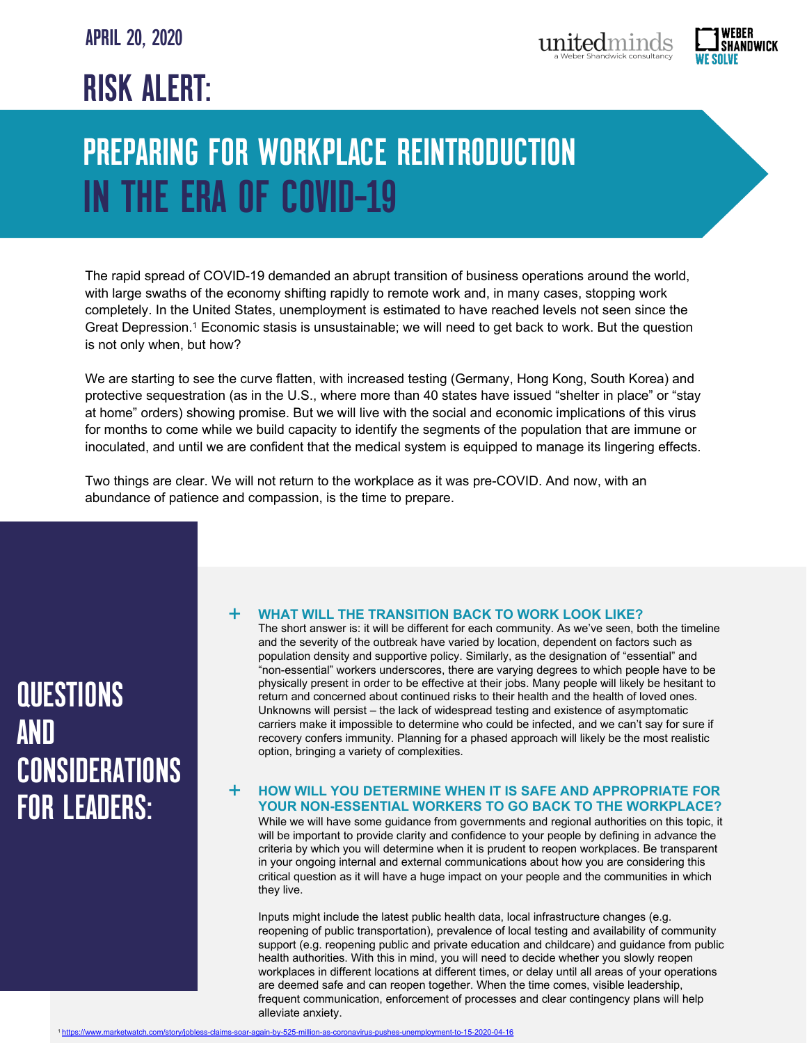# APRIL 20, 2020

# RISK ALERT:

# PREPARING FOR WORKPLACE REINTRODUCTION IN THE ERA OF COVID-19

The rapid spread of COVID-19 demanded an abrupt transition of business operations around the world, with large swaths of the economy shifting rapidly to remote work and, in many cases, stopping work completely. In the United States, unemployment is estimated to have reached levels not seen since the Great Depression.1 Economic stasis is unsustainable; we will need to get back to work. But the question is not only when, but how?

We are starting to see the curve flatten, with increased testing (Germany, Hong Kong, South Korea) and protective sequestration (as in the U.S., where more than 40 states have issued "shelter in place" or "stay at home" orders) showing promise. But we will live with the social and economic implications of this virus for months to come while we build capacity to identify the segments of the population that are immune or inoculated, and until we are confident that the medical system is equipped to manage its lingering effects.

Two things are clear. We will not return to the workplace as it was pre-COVID. And now, with an abundance of patience and compassion, is the time to prepare.

# QUESTIONS AND CONSIDERATIONS FOR LEADERS:

#### **WHAT WILL THE TRANSITION BACK TO WORK LOOK LIKE?** +

The short answer is: it will be different for each community. As we've seen, both the timeline and the severity of the outbreak have varied by location, dependent on factors such as population density and supportive policy. Similarly, as the designation of "essential" and "non-essential" workers underscores, there are varying degrees to which people have to be physically present in order to be effective at their jobs. Many people will likely be hesitant to return and concerned about continued risks to their health and the health of loved ones. Unknowns will persist – the lack of widespread testing and existence of asymptomatic carriers make it impossible to determine who could be infected, and we can't say for sure if recovery confers immunity. Planning for a phased approach will likely be the most realistic option, bringing a variety of complexities.

## **HOW WILL YOU DETERMINE WHEN IT IS SAFE AND APPROPRIATE FOR YOUR NON-ESSENTIAL WORKERS TO GO BACK TO THE WORKPLACE?** +

While we will have some guidance from governments and regional authorities on this topic, it will be important to provide clarity and confidence to your people by defining in advance the criteria by which you will determine when it is prudent to reopen workplaces. Be transparent in your ongoing internal and external communications about how you are considering this critical question as it will have a huge impact on your people and the communities in which they live.

Inputs might include the latest public health data, local infrastructure changes (e.g. reopening of public transportation), prevalence of local testing and availability of community support (e.g. reopening public and private education and childcare) and guidance from public health authorities. With this in mind, you will need to decide whether you slowly reopen workplaces in different locations at different times, or delay until all areas of your operations are deemed safe and can reopen together. When the time comes, visible leadership, frequent communication, enforcement of processes and clear contingency plans will help alleviate anxiety.